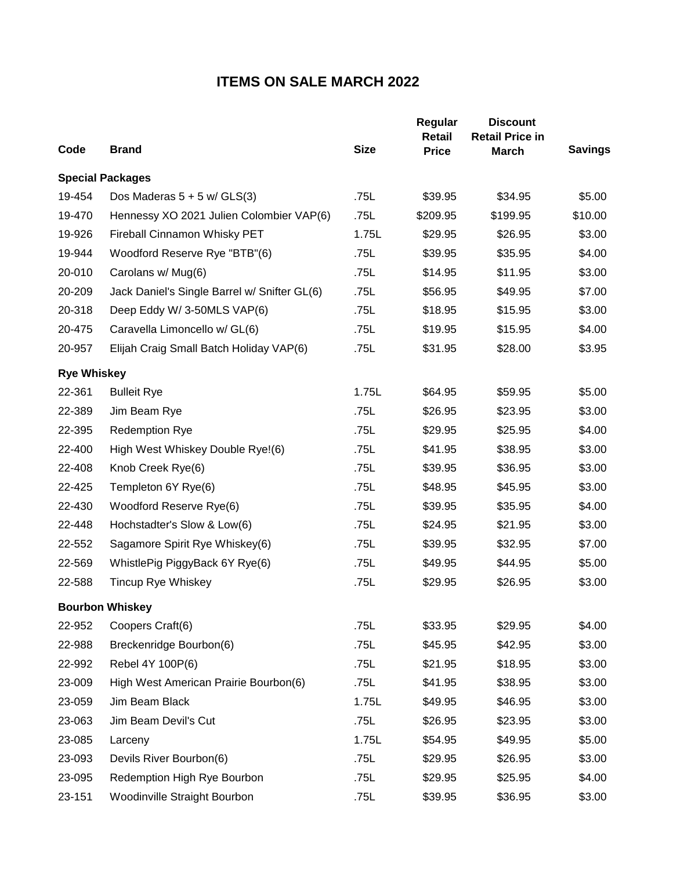## **ITEMS ON SALE MARCH 2022**

| Code               | <b>Brand</b>                                 | <b>Size</b> | Regular<br>Retail<br><b>Price</b> | <b>Discount</b><br><b>Retail Price in</b><br><b>March</b> | <b>Savings</b> |
|--------------------|----------------------------------------------|-------------|-----------------------------------|-----------------------------------------------------------|----------------|
|                    | <b>Special Packages</b>                      |             |                                   |                                                           |                |
| 19-454             | Dos Maderas $5 + 5$ w/ GLS(3)                | .75L        | \$39.95                           | \$34.95                                                   | \$5.00         |
| 19-470             | Hennessy XO 2021 Julien Colombier VAP(6)     | .75L        | \$209.95                          | \$199.95                                                  | \$10.00        |
| 19-926             | Fireball Cinnamon Whisky PET                 | 1.75L       | \$29.95                           | \$26.95                                                   | \$3.00         |
| 19-944             | Woodford Reserve Rye "BTB"(6)                | .75L        | \$39.95                           | \$35.95                                                   | \$4.00         |
| 20-010             | Carolans w/ Mug(6)                           | .75L        | \$14.95                           | \$11.95                                                   | \$3.00         |
| 20-209             | Jack Daniel's Single Barrel w/ Snifter GL(6) | .75L        | \$56.95                           | \$49.95                                                   | \$7.00         |
| 20-318             | Deep Eddy W/ 3-50MLS VAP(6)                  | .75L        | \$18.95                           | \$15.95                                                   | \$3.00         |
| 20-475             | Caravella Limoncello w/ GL(6)                | .75L        | \$19.95                           | \$15.95                                                   | \$4.00         |
| 20-957             | Elijah Craig Small Batch Holiday VAP(6)      | .75L        | \$31.95                           | \$28.00                                                   | \$3.95         |
| <b>Rye Whiskey</b> |                                              |             |                                   |                                                           |                |
| 22-361             | <b>Bulleit Rye</b>                           | 1.75L       | \$64.95                           | \$59.95                                                   | \$5.00         |
| 22-389             | Jim Beam Rye                                 | .75L        | \$26.95                           | \$23.95                                                   | \$3.00         |
| 22-395             | Redemption Rye                               | .75L        | \$29.95                           | \$25.95                                                   | \$4.00         |
| 22-400             | High West Whiskey Double Rye!(6)             | .75L        | \$41.95                           | \$38.95                                                   | \$3.00         |
| 22-408             | Knob Creek Rye(6)                            | .75L        | \$39.95                           | \$36.95                                                   | \$3.00         |
| 22-425             | Templeton 6Y Rye(6)                          | .75L        | \$48.95                           | \$45.95                                                   | \$3.00         |
| 22-430             | Woodford Reserve Rye(6)                      | .75L        | \$39.95                           | \$35.95                                                   | \$4.00         |
| 22-448             | Hochstadter's Slow & Low(6)                  | .75L        | \$24.95                           | \$21.95                                                   | \$3.00         |
| 22-552             | Sagamore Spirit Rye Whiskey(6)               | .75L        | \$39.95                           | \$32.95                                                   | \$7.00         |
| 22-569             | WhistlePig PiggyBack 6Y Rye(6)               | .75L        | \$49.95                           | \$44.95                                                   | \$5.00         |
| 22-588             | <b>Tincup Rye Whiskey</b>                    | .75L        | \$29.95                           | \$26.95                                                   | \$3.00         |
|                    | <b>Bourbon Whiskey</b>                       |             |                                   |                                                           |                |
| 22-952             | Coopers Craft(6)                             | .75L        | \$33.95                           | \$29.95                                                   | \$4.00         |
| 22-988             | Breckenridge Bourbon(6)                      | .75L        | \$45.95                           | \$42.95                                                   | \$3.00         |
| 22-992             | Rebel 4Y 100P(6)                             | .75L        | \$21.95                           | \$18.95                                                   | \$3.00         |
| 23-009             | High West American Prairie Bourbon(6)        | .75L        | \$41.95                           | \$38.95                                                   | \$3.00         |
| 23-059             | Jim Beam Black                               | 1.75L       | \$49.95                           | \$46.95                                                   | \$3.00         |
| 23-063             | Jim Beam Devil's Cut                         | .75L        | \$26.95                           | \$23.95                                                   | \$3.00         |
| 23-085             | Larceny                                      | 1.75L       | \$54.95                           | \$49.95                                                   | \$5.00         |
| 23-093             | Devils River Bourbon(6)                      | .75L        | \$29.95                           | \$26.95                                                   | \$3.00         |
| 23-095             | Redemption High Rye Bourbon                  | .75L        | \$29.95                           | \$25.95                                                   | \$4.00         |
| 23-151             | Woodinville Straight Bourbon                 | .75L        | \$39.95                           | \$36.95                                                   | \$3.00         |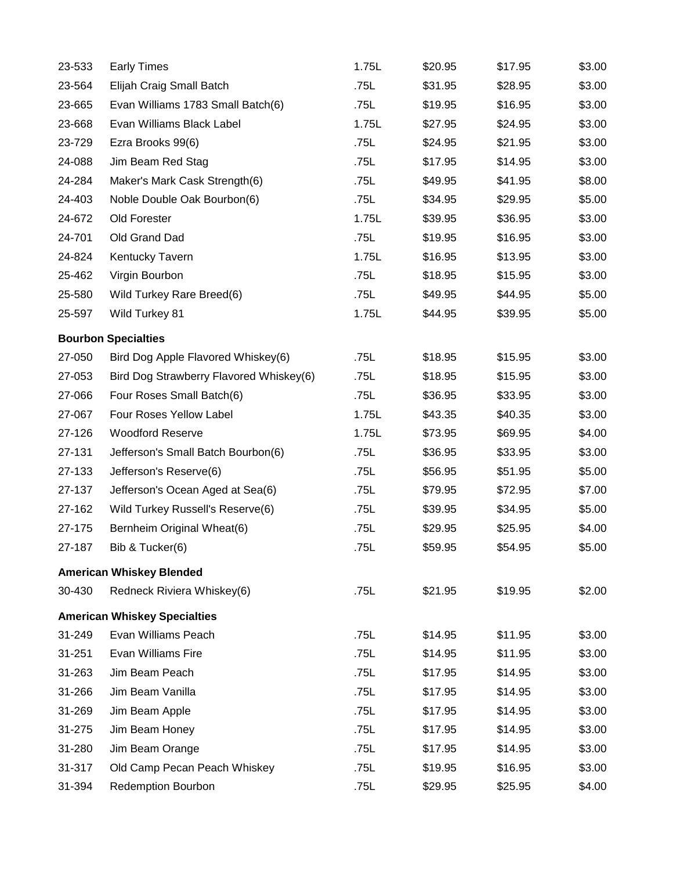| 23-533 | <b>Early Times</b>                      | 1.75L | \$20.95 | \$17.95 | \$3.00 |
|--------|-----------------------------------------|-------|---------|---------|--------|
| 23-564 | Elijah Craig Small Batch                | .75L  | \$31.95 | \$28.95 | \$3.00 |
| 23-665 | Evan Williams 1783 Small Batch(6)       | .75L  | \$19.95 | \$16.95 | \$3.00 |
| 23-668 | Evan Williams Black Label               | 1.75L | \$27.95 | \$24.95 | \$3.00 |
| 23-729 | Ezra Brooks 99(6)                       | .75L  | \$24.95 | \$21.95 | \$3.00 |
| 24-088 | Jim Beam Red Stag                       | .75L  | \$17.95 | \$14.95 | \$3.00 |
| 24-284 | Maker's Mark Cask Strength(6)           | .75L  | \$49.95 | \$41.95 | \$8.00 |
| 24-403 | Noble Double Oak Bourbon(6)             | .75L  | \$34.95 | \$29.95 | \$5.00 |
| 24-672 | Old Forester                            | 1.75L | \$39.95 | \$36.95 | \$3.00 |
| 24-701 | Old Grand Dad                           | .75L  | \$19.95 | \$16.95 | \$3.00 |
| 24-824 | Kentucky Tavern                         | 1.75L | \$16.95 | \$13.95 | \$3.00 |
| 25-462 | Virgin Bourbon                          | .75L  | \$18.95 | \$15.95 | \$3.00 |
| 25-580 | Wild Turkey Rare Breed(6)               | .75L  | \$49.95 | \$44.95 | \$5.00 |
| 25-597 | Wild Turkey 81                          | 1.75L | \$44.95 | \$39.95 | \$5.00 |
|        | <b>Bourbon Specialties</b>              |       |         |         |        |
| 27-050 | Bird Dog Apple Flavored Whiskey(6)      | .75L  | \$18.95 | \$15.95 | \$3.00 |
| 27-053 | Bird Dog Strawberry Flavored Whiskey(6) | .75L  | \$18.95 | \$15.95 | \$3.00 |
| 27-066 | Four Roses Small Batch(6)               | .75L  | \$36.95 | \$33.95 | \$3.00 |
| 27-067 | Four Roses Yellow Label                 | 1.75L | \$43.35 | \$40.35 | \$3.00 |
| 27-126 | <b>Woodford Reserve</b>                 | 1.75L | \$73.95 | \$69.95 | \$4.00 |
| 27-131 | Jefferson's Small Batch Bourbon(6)      | .75L  | \$36.95 | \$33.95 | \$3.00 |
| 27-133 | Jefferson's Reserve(6)                  | .75L  | \$56.95 | \$51.95 | \$5.00 |
| 27-137 | Jefferson's Ocean Aged at Sea(6)        | .75L  | \$79.95 | \$72.95 | \$7.00 |
| 27-162 | Wild Turkey Russell's Reserve(6)        | .75L  | \$39.95 | \$34.95 | \$5.00 |
| 27-175 | Bernheim Original Wheat(6)              | .75L  | \$29.95 | \$25.95 | \$4.00 |
| 27-187 | Bib & Tucker(6)                         | .75L  | \$59.95 | \$54.95 | \$5.00 |
|        | <b>American Whiskey Blended</b>         |       |         |         |        |
| 30-430 | Redneck Riviera Whiskey(6)              | .75L  | \$21.95 | \$19.95 | \$2.00 |
|        | <b>American Whiskey Specialties</b>     |       |         |         |        |
| 31-249 | Evan Williams Peach                     | .75L  | \$14.95 | \$11.95 | \$3.00 |
| 31-251 | Evan Williams Fire                      | .75L  | \$14.95 | \$11.95 | \$3.00 |
| 31-263 | Jim Beam Peach                          | .75L  | \$17.95 | \$14.95 | \$3.00 |
| 31-266 | Jim Beam Vanilla                        | .75L  | \$17.95 | \$14.95 | \$3.00 |
| 31-269 | Jim Beam Apple                          | .75L  | \$17.95 | \$14.95 | \$3.00 |
| 31-275 | Jim Beam Honey                          | .75L  | \$17.95 | \$14.95 | \$3.00 |
| 31-280 | Jim Beam Orange                         | .75L  | \$17.95 | \$14.95 | \$3.00 |
| 31-317 | Old Camp Pecan Peach Whiskey            | .75L  | \$19.95 | \$16.95 | \$3.00 |
| 31-394 | <b>Redemption Bourbon</b>               | .75L  | \$29.95 | \$25.95 | \$4.00 |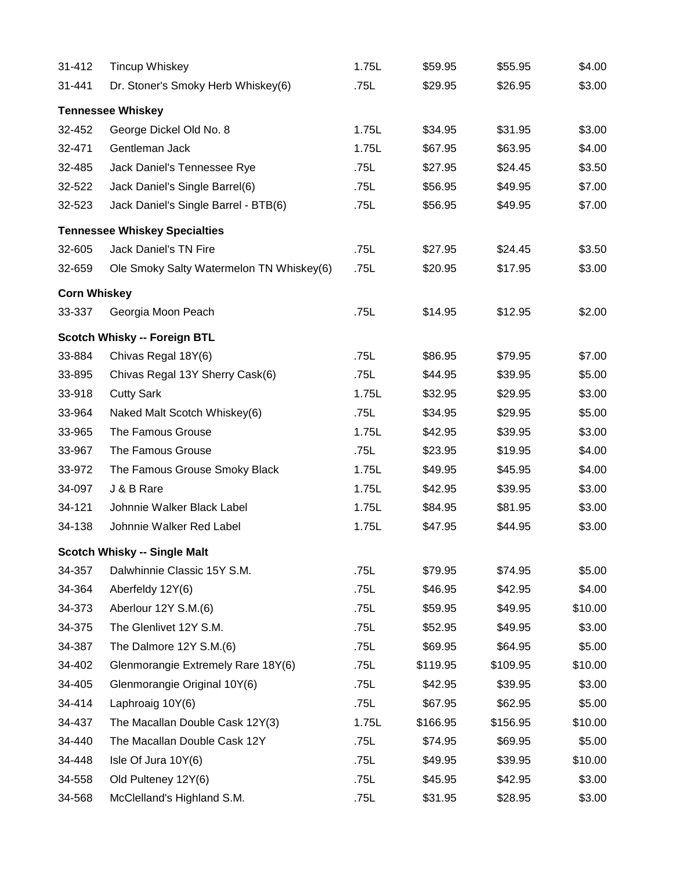| 31-412              | <b>Tincup Whiskey</b>                    | 1.75L | \$59.95  | \$55.95  | \$4.00  |
|---------------------|------------------------------------------|-------|----------|----------|---------|
| 31-441              | Dr. Stoner's Smoky Herb Whiskey(6)       | .75L  | \$29.95  | \$26.95  | \$3.00  |
|                     | <b>Tennessee Whiskey</b>                 |       |          |          |         |
| 32-452              | George Dickel Old No. 8                  | 1.75L | \$34.95  | \$31.95  | \$3.00  |
| 32-471              | Gentleman Jack                           | 1.75L | \$67.95  | \$63.95  | \$4.00  |
| 32-485              | Jack Daniel's Tennessee Rye              | .75L  | \$27.95  | \$24.45  | \$3.50  |
| 32-522              | Jack Daniel's Single Barrel(6)           | .75L  | \$56.95  | \$49.95  | \$7.00  |
| 32-523              | Jack Daniel's Single Barrel - BTB(6)     | .75L  | \$56.95  | \$49.95  | \$7.00  |
|                     | <b>Tennessee Whiskey Specialties</b>     |       |          |          |         |
| 32-605              | Jack Daniel's TN Fire                    | .75L  | \$27.95  | \$24.45  | \$3.50  |
| 32-659              | Ole Smoky Salty Watermelon TN Whiskey(6) | .75L  | \$20.95  | \$17.95  | \$3.00  |
| <b>Corn Whiskey</b> |                                          |       |          |          |         |
| 33-337              | Georgia Moon Peach                       | .75L  | \$14.95  | \$12.95  | \$2.00  |
|                     | <b>Scotch Whisky -- Foreign BTL</b>      |       |          |          |         |
| 33-884              | Chivas Regal 18Y(6)                      | .75L  | \$86.95  | \$79.95  | \$7.00  |
| 33-895              | Chivas Regal 13Y Sherry Cask(6)          | .75L  | \$44.95  | \$39.95  | \$5.00  |
| 33-918              | <b>Cutty Sark</b>                        | 1.75L | \$32.95  | \$29.95  | \$3.00  |
| 33-964              | Naked Malt Scotch Whiskey(6)             | .75L  | \$34.95  | \$29.95  | \$5.00  |
| 33-965              | The Famous Grouse                        | 1.75L | \$42.95  | \$39.95  | \$3.00  |
| 33-967              | The Famous Grouse                        | .75L  | \$23.95  | \$19.95  | \$4.00  |
| 33-972              | The Famous Grouse Smoky Black            | 1.75L | \$49.95  | \$45.95  | \$4.00  |
| 34-097              | J & B Rare                               | 1.75L | \$42.95  | \$39.95  | \$3.00  |
| 34-121              | Johnnie Walker Black Label               | 1.75L | \$84.95  | \$81.95  | \$3.00  |
| 34-138              | Johnnie Walker Red Label                 | 1.75L | \$47.95  | \$44.95  | \$3.00  |
|                     | <b>Scotch Whisky -- Single Malt</b>      |       |          |          |         |
| 34-357              | Dalwhinnie Classic 15Y S.M.              | .75L  | \$79.95  | \$74.95  | \$5.00  |
| 34-364              | Aberfeldy 12Y(6)                         | .75L  | \$46.95  | \$42.95  | \$4.00  |
| 34-373              | Aberlour 12Y S.M.(6)                     | .75L  | \$59.95  | \$49.95  | \$10.00 |
| 34-375              | The Glenlivet 12Y S.M.                   | .75L  | \$52.95  | \$49.95  | \$3.00  |
| 34-387              | The Dalmore 12Y S.M.(6)                  | .75L  | \$69.95  | \$64.95  | \$5.00  |
| 34-402              | Glenmorangie Extremely Rare 18Y(6)       | .75L  | \$119.95 | \$109.95 | \$10.00 |
| 34-405              | Glenmorangie Original 10Y(6)             | .75L  | \$42.95  | \$39.95  | \$3.00  |
| 34-414              | Laphroaig 10Y(6)                         | .75L  | \$67.95  | \$62.95  | \$5.00  |
| 34-437              | The Macallan Double Cask 12Y(3)          | 1.75L | \$166.95 | \$156.95 | \$10.00 |
| 34-440              | The Macallan Double Cask 12Y             | .75L  | \$74.95  | \$69.95  | \$5.00  |
| 34-448              | Isle Of Jura 10Y(6)                      | .75L  | \$49.95  | \$39.95  | \$10.00 |
| 34-558              | Old Pulteney 12Y(6)                      | .75L  | \$45.95  | \$42.95  | \$3.00  |
| 34-568              | McClelland's Highland S.M.               | .75L  | \$31.95  | \$28.95  | \$3.00  |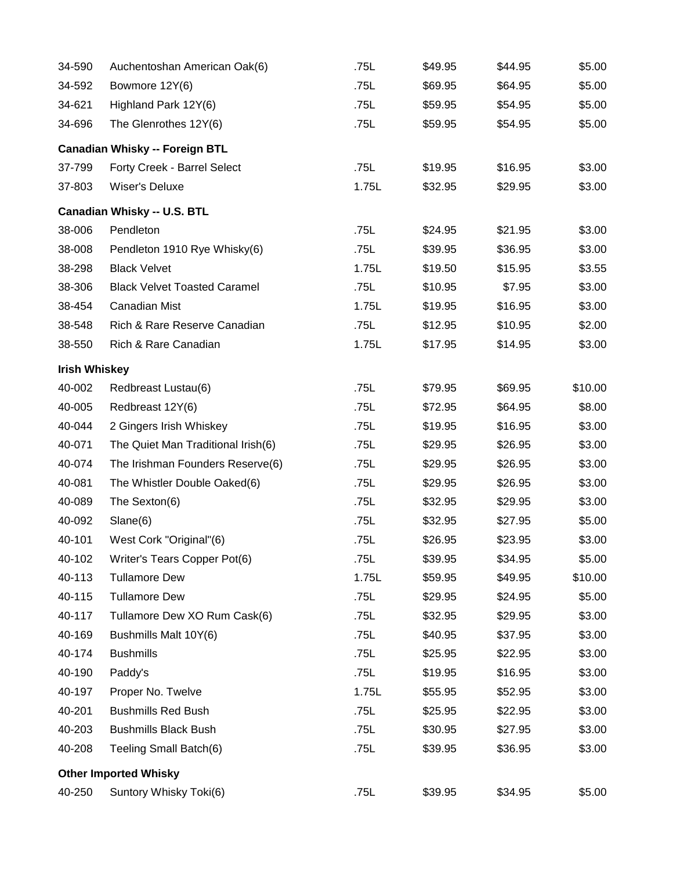| 34-590               | Auchentoshan American Oak(6)          | .75L  | \$49.95 | \$44.95 | \$5.00  |
|----------------------|---------------------------------------|-------|---------|---------|---------|
| 34-592               | Bowmore 12Y(6)                        | .75L  | \$69.95 | \$64.95 | \$5.00  |
| 34-621               | Highland Park 12Y(6)                  | .75L  | \$59.95 | \$54.95 | \$5.00  |
| 34-696               | The Glenrothes 12Y(6)                 | .75L  | \$59.95 | \$54.95 | \$5.00  |
|                      | <b>Canadian Whisky -- Foreign BTL</b> |       |         |         |         |
| 37-799               | Forty Creek - Barrel Select           | .75L  | \$19.95 | \$16.95 | \$3.00  |
| 37-803               | Wiser's Deluxe                        | 1.75L | \$32.95 | \$29.95 | \$3.00  |
|                      | <b>Canadian Whisky -- U.S. BTL</b>    |       |         |         |         |
| 38-006               | Pendleton                             | .75L  | \$24.95 | \$21.95 | \$3.00  |
| 38-008               | Pendleton 1910 Rye Whisky(6)          | .75L  | \$39.95 | \$36.95 | \$3.00  |
| 38-298               | <b>Black Velvet</b>                   | 1.75L | \$19.50 | \$15.95 | \$3.55  |
| 38-306               | <b>Black Velvet Toasted Caramel</b>   | .75L  | \$10.95 | \$7.95  | \$3.00  |
| 38-454               | Canadian Mist                         | 1.75L | \$19.95 | \$16.95 | \$3.00  |
| 38-548               | Rich & Rare Reserve Canadian          | .75L  | \$12.95 | \$10.95 | \$2.00  |
| 38-550               | Rich & Rare Canadian                  | 1.75L | \$17.95 | \$14.95 | \$3.00  |
| <b>Irish Whiskey</b> |                                       |       |         |         |         |
| 40-002               | Redbreast Lustau(6)                   | .75L  | \$79.95 | \$69.95 | \$10.00 |
| 40-005               | Redbreast 12Y(6)                      | .75L  | \$72.95 | \$64.95 | \$8.00  |
| 40-044               | 2 Gingers Irish Whiskey               | .75L  | \$19.95 | \$16.95 | \$3.00  |
| 40-071               | The Quiet Man Traditional Irish(6)    | .75L  | \$29.95 | \$26.95 | \$3.00  |
| 40-074               | The Irishman Founders Reserve(6)      | .75L  | \$29.95 | \$26.95 | \$3.00  |
| 40-081               | The Whistler Double Oaked(6)          | .75L  | \$29.95 | \$26.95 | \$3.00  |
| 40-089               | The Sexton(6)                         | .75L  | \$32.95 | \$29.95 | \$3.00  |
| 40-092               | Slane(6)                              | .75L  | \$32.95 | \$27.95 | \$5.00  |
| 40-101               | West Cork "Original"(6)               | .75L  | \$26.95 | \$23.95 | \$3.00  |
| 40-102               | Writer's Tears Copper Pot(6)          | .75L  | \$39.95 | \$34.95 | \$5.00  |
| 40-113               | <b>Tullamore Dew</b>                  | 1.75L | \$59.95 | \$49.95 | \$10.00 |
| 40-115               | <b>Tullamore Dew</b>                  | .75L  | \$29.95 | \$24.95 | \$5.00  |
| 40-117               | Tullamore Dew XO Rum Cask(6)          | .75L  | \$32.95 | \$29.95 | \$3.00  |
| 40-169               | Bushmills Malt 10Y(6)                 | .75L  | \$40.95 | \$37.95 | \$3.00  |
| 40-174               | <b>Bushmills</b>                      | .75L  | \$25.95 | \$22.95 | \$3.00  |
| 40-190               | Paddy's                               | .75L  | \$19.95 | \$16.95 | \$3.00  |
| 40-197               | Proper No. Twelve                     | 1.75L | \$55.95 | \$52.95 | \$3.00  |
| 40-201               | <b>Bushmills Red Bush</b>             | .75L  | \$25.95 | \$22.95 | \$3.00  |
| 40-203               | <b>Bushmills Black Bush</b>           | .75L  | \$30.95 | \$27.95 | \$3.00  |
| 40-208               | Teeling Small Batch(6)                | .75L  | \$39.95 | \$36.95 | \$3.00  |
|                      | <b>Other Imported Whisky</b>          |       |         |         |         |
| 40-250               | Suntory Whisky Toki(6)                | .75L  | \$39.95 | \$34.95 | \$5.00  |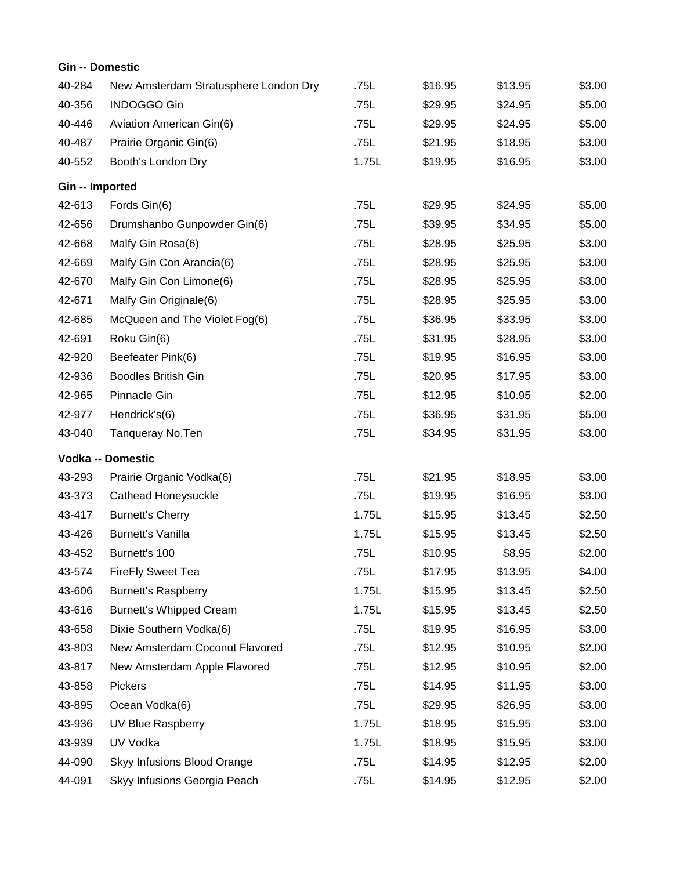| <b>Gin -- Domestic</b> |                                       |       |         |         |        |
|------------------------|---------------------------------------|-------|---------|---------|--------|
| 40-284                 | New Amsterdam Stratusphere London Dry | .75L  | \$16.95 | \$13.95 | \$3.00 |
| 40-356                 | <b>INDOGGO Gin</b>                    | .75L  | \$29.95 | \$24.95 | \$5.00 |
| 40-446                 | Aviation American Gin(6)              | .75L  | \$29.95 | \$24.95 | \$5.00 |
| 40-487                 | Prairie Organic Gin(6)                | .75L  | \$21.95 | \$18.95 | \$3.00 |
| 40-552                 | Booth's London Dry                    | 1.75L | \$19.95 | \$16.95 | \$3.00 |
| Gin -- Imported        |                                       |       |         |         |        |
| 42-613                 | Fords Gin(6)                          | .75L  | \$29.95 | \$24.95 | \$5.00 |
| 42-656                 | Drumshanbo Gunpowder Gin(6)           | .75L  | \$39.95 | \$34.95 | \$5.00 |
| 42-668                 | Malfy Gin Rosa(6)                     | .75L  | \$28.95 | \$25.95 | \$3.00 |
| 42-669                 | Malfy Gin Con Arancia(6)              | .75L  | \$28.95 | \$25.95 | \$3.00 |
| 42-670                 | Malfy Gin Con Limone(6)               | .75L  | \$28.95 | \$25.95 | \$3.00 |
| 42-671                 | Malfy Gin Originale(6)                | .75L  | \$28.95 | \$25.95 | \$3.00 |
| 42-685                 | McQueen and The Violet Fog(6)         | .75L  | \$36.95 | \$33.95 | \$3.00 |
| 42-691                 | Roku Gin(6)                           | .75L  | \$31.95 | \$28.95 | \$3.00 |
| 42-920                 | Beefeater Pink(6)                     | .75L  | \$19.95 | \$16.95 | \$3.00 |
| 42-936                 | <b>Boodles British Gin</b>            | .75L  | \$20.95 | \$17.95 | \$3.00 |
| 42-965                 | Pinnacle Gin                          | .75L  | \$12.95 | \$10.95 | \$2.00 |
| 42-977                 | Hendrick's(6)                         | .75L  | \$36.95 | \$31.95 | \$5.00 |
| 43-040                 | Tanqueray No.Ten                      | .75L  | \$34.95 | \$31.95 | \$3.00 |
|                        | Vodka -- Domestic                     |       |         |         |        |
| 43-293                 | Prairie Organic Vodka(6)              | .75L  | \$21.95 | \$18.95 | \$3.00 |
| 43-373                 | Cathead Honeysuckle                   | .75L  | \$19.95 | \$16.95 | \$3.00 |
| 43-417                 | <b>Burnett's Cherry</b>               | 1.75L | \$15.95 | \$13.45 | \$2.50 |
| 43-426                 | <b>Burnett's Vanilla</b>              | 1.75L | \$15.95 | \$13.45 | \$2.50 |
| 43-452                 | Burnett's 100                         | .75L  | \$10.95 | \$8.95  | \$2.00 |
| 43-574                 | <b>FireFly Sweet Tea</b>              | .75L  | \$17.95 | \$13.95 | \$4.00 |
| 43-606                 | <b>Burnett's Raspberry</b>            | 1.75L | \$15.95 | \$13.45 | \$2.50 |
| 43-616                 | <b>Burnett's Whipped Cream</b>        | 1.75L | \$15.95 | \$13.45 | \$2.50 |
| 43-658                 | Dixie Southern Vodka(6)               | .75L  | \$19.95 | \$16.95 | \$3.00 |
| 43-803                 | New Amsterdam Coconut Flavored        | .75L  | \$12.95 | \$10.95 | \$2.00 |
| 43-817                 | New Amsterdam Apple Flavored          | .75L  | \$12.95 | \$10.95 | \$2.00 |
| 43-858                 | Pickers                               | .75L  | \$14.95 | \$11.95 | \$3.00 |
| 43-895                 | Ocean Vodka(6)                        | .75L  | \$29.95 | \$26.95 | \$3.00 |
| 43-936                 | UV Blue Raspberry                     | 1.75L | \$18.95 | \$15.95 | \$3.00 |
| 43-939                 | UV Vodka                              | 1.75L | \$18.95 | \$15.95 | \$3.00 |
| 44-090                 | Skyy Infusions Blood Orange           | .75L  | \$14.95 | \$12.95 | \$2.00 |
| 44-091                 | Skyy Infusions Georgia Peach          | .75L  | \$14.95 | \$12.95 | \$2.00 |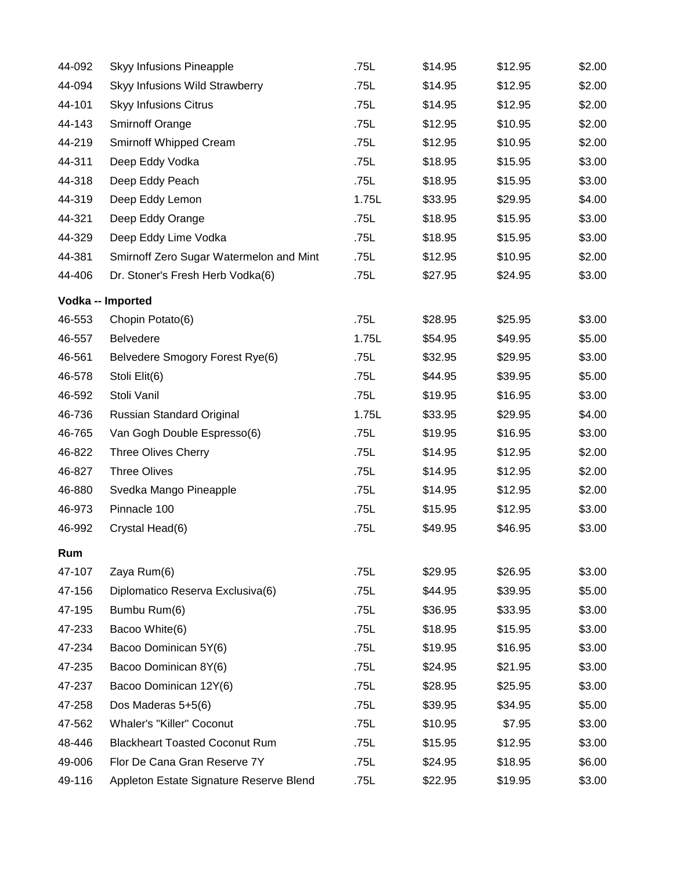| 44-092 | Skyy Infusions Pineapple                | .75L  | \$14.95 | \$12.95 | \$2.00 |
|--------|-----------------------------------------|-------|---------|---------|--------|
| 44-094 | Skyy Infusions Wild Strawberry          | .75L  | \$14.95 | \$12.95 | \$2.00 |
| 44-101 | <b>Skyy Infusions Citrus</b>            | .75L  | \$14.95 | \$12.95 | \$2.00 |
| 44-143 | <b>Smirnoff Orange</b>                  | .75L  | \$12.95 | \$10.95 | \$2.00 |
| 44-219 | Smirnoff Whipped Cream                  | .75L  | \$12.95 | \$10.95 | \$2.00 |
| 44-311 | Deep Eddy Vodka                         | .75L  | \$18.95 | \$15.95 | \$3.00 |
| 44-318 | Deep Eddy Peach                         | .75L  | \$18.95 | \$15.95 | \$3.00 |
| 44-319 | Deep Eddy Lemon                         | 1.75L | \$33.95 | \$29.95 | \$4.00 |
| 44-321 | Deep Eddy Orange                        | .75L  | \$18.95 | \$15.95 | \$3.00 |
| 44-329 | Deep Eddy Lime Vodka                    | .75L  | \$18.95 | \$15.95 | \$3.00 |
| 44-381 | Smirnoff Zero Sugar Watermelon and Mint | .75L  | \$12.95 | \$10.95 | \$2.00 |
| 44-406 | Dr. Stoner's Fresh Herb Vodka(6)        | .75L  | \$27.95 | \$24.95 | \$3.00 |
|        | Vodka -- Imported                       |       |         |         |        |
| 46-553 | Chopin Potato(6)                        | .75L  | \$28.95 | \$25.95 | \$3.00 |
| 46-557 | <b>Belvedere</b>                        | 1.75L | \$54.95 | \$49.95 | \$5.00 |
| 46-561 | Belvedere Smogory Forest Rye(6)         | .75L  | \$32.95 | \$29.95 | \$3.00 |
| 46-578 | Stoli Elit(6)                           | .75L  | \$44.95 | \$39.95 | \$5.00 |
| 46-592 | Stoli Vanil                             | .75L  | \$19.95 | \$16.95 | \$3.00 |
| 46-736 | Russian Standard Original               | 1.75L | \$33.95 | \$29.95 | \$4.00 |
| 46-765 | Van Gogh Double Espresso(6)             | .75L  | \$19.95 | \$16.95 | \$3.00 |
| 46-822 | <b>Three Olives Cherry</b>              | .75L  | \$14.95 | \$12.95 | \$2.00 |
| 46-827 | <b>Three Olives</b>                     | .75L  | \$14.95 | \$12.95 | \$2.00 |
| 46-880 | Svedka Mango Pineapple                  | .75L  | \$14.95 | \$12.95 | \$2.00 |
| 46-973 | Pinnacle 100                            | .75L  | \$15.95 | \$12.95 | \$3.00 |
| 46-992 | Crystal Head(6)                         | .75L  | \$49.95 | \$46.95 | \$3.00 |
| Rum    |                                         |       |         |         |        |
| 47-107 | Zaya Rum(6)                             | .75L  | \$29.95 | \$26.95 | \$3.00 |
| 47-156 | Diplomatico Reserva Exclusiva(6)        | .75L  | \$44.95 | \$39.95 | \$5.00 |
| 47-195 | Bumbu Rum(6)                            | .75L  | \$36.95 | \$33.95 | \$3.00 |
| 47-233 | Bacoo White(6)                          | .75L  | \$18.95 | \$15.95 | \$3.00 |
| 47-234 | Bacoo Dominican 5Y(6)                   | .75L  | \$19.95 | \$16.95 | \$3.00 |
| 47-235 | Bacoo Dominican 8Y(6)                   | .75L  | \$24.95 | \$21.95 | \$3.00 |
| 47-237 | Bacoo Dominican 12Y(6)                  | .75L  | \$28.95 | \$25.95 | \$3.00 |
| 47-258 | Dos Maderas 5+5(6)                      | .75L  | \$39.95 | \$34.95 | \$5.00 |
| 47-562 | <b>Whaler's "Killer" Coconut</b>        | .75L  | \$10.95 | \$7.95  | \$3.00 |
| 48-446 | <b>Blackheart Toasted Coconut Rum</b>   | .75L  | \$15.95 | \$12.95 | \$3.00 |
| 49-006 | Flor De Cana Gran Reserve 7Y            | .75L  | \$24.95 | \$18.95 | \$6.00 |
| 49-116 | Appleton Estate Signature Reserve Blend | .75L  | \$22.95 | \$19.95 | \$3.00 |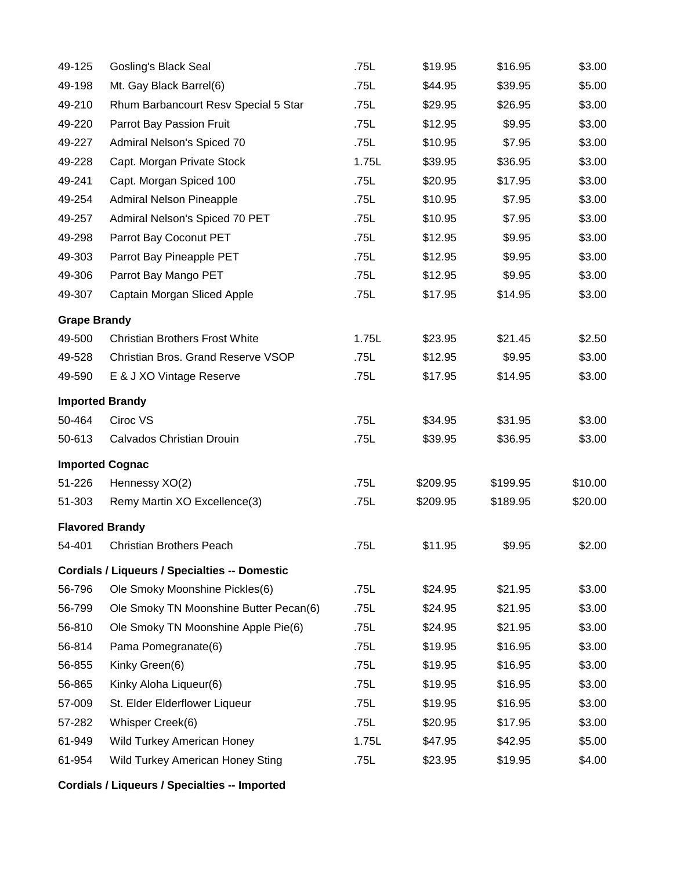| 49-125                 | <b>Gosling's Black Seal</b>                          | .75L  | \$19.95  | \$16.95  | \$3.00  |
|------------------------|------------------------------------------------------|-------|----------|----------|---------|
| 49-198                 | Mt. Gay Black Barrel(6)                              | .75L  | \$44.95  | \$39.95  | \$5.00  |
| 49-210                 | Rhum Barbancourt Resv Special 5 Star                 | .75L  | \$29.95  | \$26.95  | \$3.00  |
| 49-220                 | Parrot Bay Passion Fruit                             | .75L  | \$12.95  | \$9.95   | \$3.00  |
| 49-227                 | Admiral Nelson's Spiced 70                           | .75L  | \$10.95  | \$7.95   | \$3.00  |
| 49-228                 | Capt. Morgan Private Stock                           | 1.75L | \$39.95  | \$36.95  | \$3.00  |
| 49-241                 | Capt. Morgan Spiced 100                              | .75L  | \$20.95  | \$17.95  | \$3.00  |
| 49-254                 | <b>Admiral Nelson Pineapple</b>                      | .75L  | \$10.95  | \$7.95   | \$3.00  |
| 49-257                 | Admiral Nelson's Spiced 70 PET                       | .75L  | \$10.95  | \$7.95   | \$3.00  |
| 49-298                 | Parrot Bay Coconut PET                               | .75L  | \$12.95  | \$9.95   | \$3.00  |
| 49-303                 | Parrot Bay Pineapple PET                             | .75L  | \$12.95  | \$9.95   | \$3.00  |
| 49-306                 | Parrot Bay Mango PET                                 | .75L  | \$12.95  | \$9.95   | \$3.00  |
| 49-307                 | Captain Morgan Sliced Apple                          | .75L  | \$17.95  | \$14.95  | \$3.00  |
| <b>Grape Brandy</b>    |                                                      |       |          |          |         |
| 49-500                 | <b>Christian Brothers Frost White</b>                | 1.75L | \$23.95  | \$21.45  | \$2.50  |
| 49-528                 | <b>Christian Bros. Grand Reserve VSOP</b>            | .75L  | \$12.95  | \$9.95   | \$3.00  |
| 49-590                 | E & J XO Vintage Reserve                             | .75L  | \$17.95  | \$14.95  | \$3.00  |
| <b>Imported Brandy</b> |                                                      |       |          |          |         |
| 50-464                 | Ciroc VS                                             | .75L  | \$34.95  | \$31.95  | \$3.00  |
| 50-613                 | Calvados Christian Drouin                            | .75L  | \$39.95  | \$36.95  | \$3.00  |
| <b>Imported Cognac</b> |                                                      |       |          |          |         |
| 51-226                 | Hennessy XO(2)                                       | .75L  | \$209.95 | \$199.95 | \$10.00 |
| 51-303                 | Remy Martin XO Excellence(3)                         | .75L  | \$209.95 | \$189.95 | \$20.00 |
| <b>Flavored Brandy</b> |                                                      |       |          |          |         |
| 54-401                 | <b>Christian Brothers Peach</b>                      | .75L  | \$11.95  | \$9.95   | \$2.00  |
|                        | <b>Cordials / Liqueurs / Specialties -- Domestic</b> |       |          |          |         |
| 56-796                 | Ole Smoky Moonshine Pickles(6)                       | .75L  | \$24.95  | \$21.95  | \$3.00  |
| 56-799                 | Ole Smoky TN Moonshine Butter Pecan(6)               | .75L  | \$24.95  | \$21.95  | \$3.00  |
| 56-810                 | Ole Smoky TN Moonshine Apple Pie(6)                  | .75L  | \$24.95  | \$21.95  | \$3.00  |
| 56-814                 | Pama Pomegranate(6)                                  | .75L  | \$19.95  | \$16.95  | \$3.00  |
| 56-855                 | Kinky Green(6)                                       | .75L  | \$19.95  | \$16.95  | \$3.00  |
| 56-865                 | Kinky Aloha Liqueur(6)                               | .75L  | \$19.95  | \$16.95  | \$3.00  |
| 57-009                 | St. Elder Elderflower Liqueur                        | .75L  | \$19.95  | \$16.95  | \$3.00  |
| 57-282                 | Whisper Creek(6)                                     | .75L  | \$20.95  | \$17.95  | \$3.00  |
| 61-949                 | Wild Turkey American Honey                           | 1.75L | \$47.95  | \$42.95  | \$5.00  |
| 61-954                 | Wild Turkey American Honey Sting                     | .75L  | \$23.95  | \$19.95  | \$4.00  |

**Cordials / Liqueurs / Specialties -- Imported**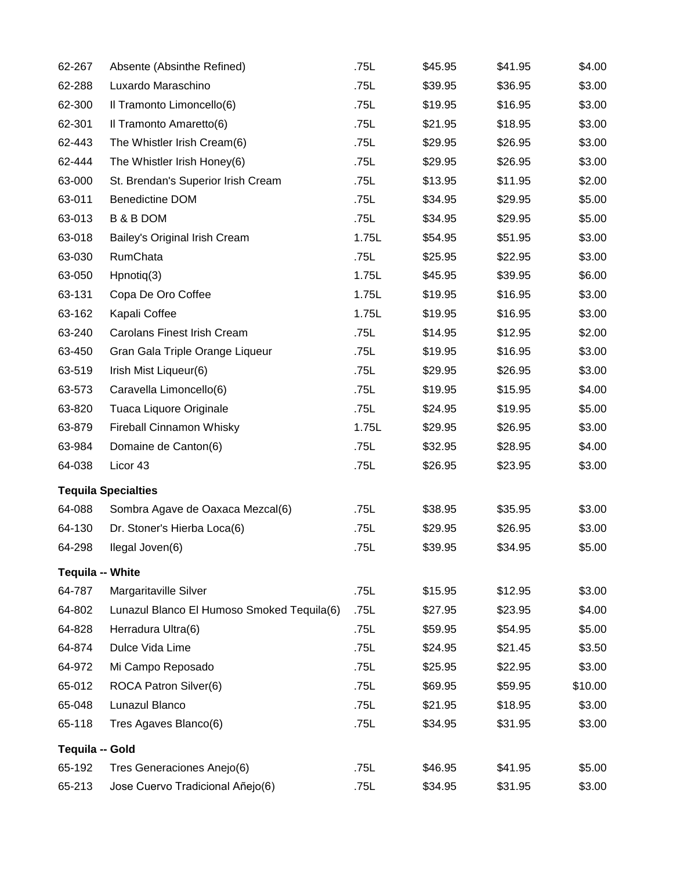| 62-267                  | Absente (Absinthe Refined)                 | .75L  | \$45.95 | \$41.95 | \$4.00  |
|-------------------------|--------------------------------------------|-------|---------|---------|---------|
| 62-288                  | Luxardo Maraschino                         | .75L  | \$39.95 | \$36.95 | \$3.00  |
| 62-300                  | Il Tramonto Limoncello(6)                  | .75L  | \$19.95 | \$16.95 | \$3.00  |
| 62-301                  | Il Tramonto Amaretto(6)                    | .75L  | \$21.95 | \$18.95 | \$3.00  |
| 62-443                  | The Whistler Irish Cream(6)                | .75L  | \$29.95 | \$26.95 | \$3.00  |
| 62-444                  | The Whistler Irish Honey(6)                | .75L  | \$29.95 | \$26.95 | \$3.00  |
| 63-000                  | St. Brendan's Superior Irish Cream         | .75L  | \$13.95 | \$11.95 | \$2.00  |
| 63-011                  | <b>Benedictine DOM</b>                     | .75L  | \$34.95 | \$29.95 | \$5.00  |
| 63-013                  | <b>B &amp; B DOM</b>                       | .75L  | \$34.95 | \$29.95 | \$5.00  |
| 63-018                  | Bailey's Original Irish Cream              | 1.75L | \$54.95 | \$51.95 | \$3.00  |
| 63-030                  | RumChata                                   | .75L  | \$25.95 | \$22.95 | \$3.00  |
| 63-050                  | $H$ pnotiq $(3)$                           | 1.75L | \$45.95 | \$39.95 | \$6.00  |
| 63-131                  | Copa De Oro Coffee                         | 1.75L | \$19.95 | \$16.95 | \$3.00  |
| 63-162                  | Kapali Coffee                              | 1.75L | \$19.95 | \$16.95 | \$3.00  |
| 63-240                  | <b>Carolans Finest Irish Cream</b>         | .75L  | \$14.95 | \$12.95 | \$2.00  |
| 63-450                  | Gran Gala Triple Orange Liqueur            | .75L  | \$19.95 | \$16.95 | \$3.00  |
| 63-519                  | Irish Mist Liqueur(6)                      | .75L  | \$29.95 | \$26.95 | \$3.00  |
| 63-573                  | Caravella Limoncello(6)                    | .75L  | \$19.95 | \$15.95 | \$4.00  |
| 63-820                  | Tuaca Liquore Originale                    | .75L  | \$24.95 | \$19.95 | \$5.00  |
| 63-879                  | Fireball Cinnamon Whisky                   | 1.75L | \$29.95 | \$26.95 | \$3.00  |
| 63-984                  | Domaine de Canton(6)                       | .75L  | \$32.95 | \$28.95 | \$4.00  |
| 64-038                  | Licor 43                                   | .75L  | \$26.95 | \$23.95 | \$3.00  |
|                         | <b>Tequila Specialties</b>                 |       |         |         |         |
| 64-088                  | Sombra Agave de Oaxaca Mezcal(6)           | .75L  | \$38.95 | \$35.95 | \$3.00  |
| 64-130                  | Dr. Stoner's Hierba Loca(6)                | .75L  | \$29.95 | \$26.95 | \$3.00  |
| 64-298                  | llegal Joven(6)                            | .75L  | \$39.95 | \$34.95 | \$5.00  |
| <b>Tequila -- White</b> |                                            |       |         |         |         |
| 64-787                  | Margaritaville Silver                      | .75L  | \$15.95 | \$12.95 | \$3.00  |
| 64-802                  | Lunazul Blanco El Humoso Smoked Tequila(6) | .75L  | \$27.95 | \$23.95 | \$4.00  |
| 64-828                  | Herradura Ultra(6)                         | .75L  | \$59.95 | \$54.95 | \$5.00  |
| 64-874                  | Dulce Vida Lime                            | .75L  | \$24.95 | \$21.45 | \$3.50  |
| 64-972                  | Mi Campo Reposado                          | .75L  | \$25.95 | \$22.95 | \$3.00  |
| 65-012                  | ROCA Patron Silver(6)                      | .75L  | \$69.95 | \$59.95 | \$10.00 |
| 65-048                  | Lunazul Blanco                             | .75L  | \$21.95 | \$18.95 | \$3.00  |
| 65-118                  | Tres Agaves Blanco(6)                      | .75L  | \$34.95 | \$31.95 | \$3.00  |
| Tequila -- Gold         |                                            |       |         |         |         |
| 65-192                  | Tres Generaciones Anejo(6)                 | .75L  | \$46.95 | \$41.95 | \$5.00  |
| 65-213                  | Jose Cuervo Tradicional Añejo(6)           | .75L  | \$34.95 | \$31.95 | \$3.00  |